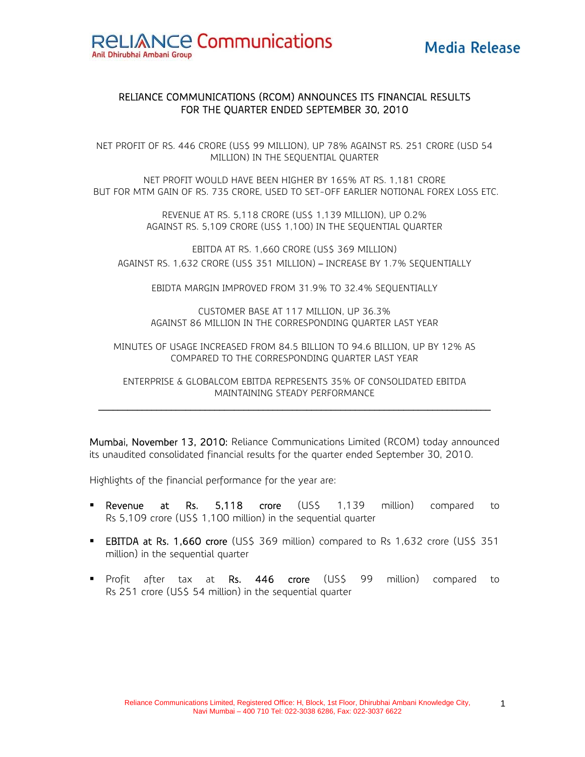#### RELIANCE COMMUNICATIONS (RCOM) ANNOUNCES ITS FINANCIAL RESULTS FOR THE QUARTER ENDED SEPTEMBER 30, 2010

NET PROFIT OF RS. 446 CRORE (US\$ 99 MILLION), UP 78% AGAINST RS. 251 CRORE (USD 54 MILLION) IN THE SEQUENTIAL QUARTER

NET PROFIT WOULD HAVE BEEN HIGHER BY 165% AT RS. 1,181 CRORE BUT FOR MTM GAIN OF RS. 735 CRORE, USED TO SET-OFF EARLIER NOTIONAL FOREX LOSS ETC.

> REVENUE AT RS. 5,118 CRORE (US\$ 1,139 MILLION), UP 0.2% AGAINST RS. 5,109 CRORE (US\$ 1,100) IN THE SEQUENTIAL QUARTER

EBITDA AT RS. 1,660 CRORE (US\$ 369 MILLION) AGAINST RS. 1,632 CRORE (US\$ 351 MILLION) – INCREASE BY 1.7% SEQUENTIALLY

EBIDTA MARGIN IMPROVED FROM 31.9% TO 32.4% SEQUENTIALLY

CUSTOMER BASE AT 117 MILLION, UP 36.3% AGAINST 86 MILLION IN THE CORRESPONDING QUARTER LAST YEAR

MINUTES OF USAGE INCREASED FROM 84.5 BILLION TO 94.6 BILLION, UP BY 12% AS COMPARED TO THE CORRESPONDING QUARTER LAST YEAR

ENTERPRISE & GLOBALCOM EBITDA REPRESENTS 35% OF CONSOLIDATED EBITDA MAINTAINING STEADY PERFORMANCE  $\mathcal{L}_\text{max}$ 

Mumbai, November 13, 2010: Reliance Communications Limited (RCOM) today announced its unaudited consolidated financial results for the quarter ended September 30, 2010.

Highlights of the financial performance for the year are:

- **Revenue at Rs. 5,118 crore** (US\$ 1,139 million) compared to Rs 5,109 crore (US\$ 1,100 million) in the sequential quarter
- **EBITDA at Rs. 1,660 crore** (US\$ 369 million) compared to Rs 1,632 crore (US\$ 351 million) in the sequential quarter
- **Profit after tax at Rs. 446 crore (US\$ 99 million) compared to** Rs 251 crore (US\$ 54 million) in the sequential quarter

1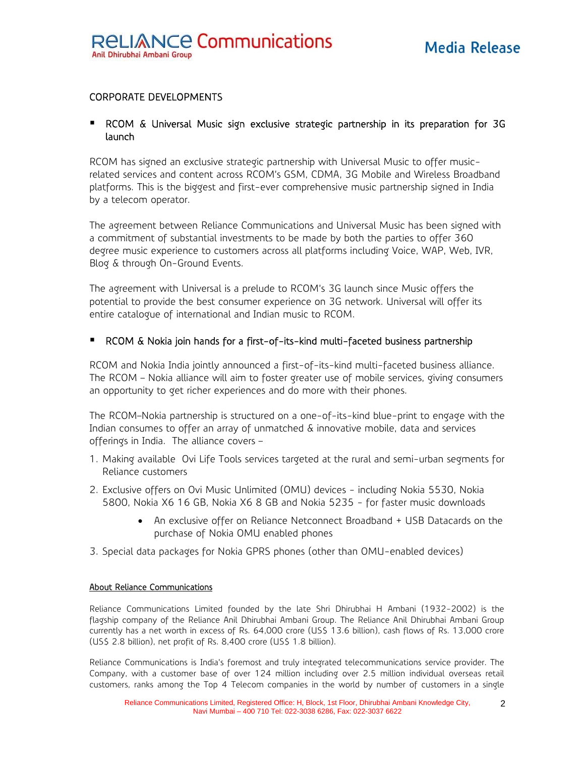### CORPORATE DEVELOPMENTS

#### RCOM & Universal Music sign exclusive strategic partnership in its preparation for 3G launch

RCOM has signed an exclusive strategic partnership with Universal Music to offer musicrelated services and content across RCOM's GSM, CDMA, 3G Mobile and Wireless Broadband platforms. This is the biggest and first-ever comprehensive music partnership signed in India by a telecom operator.

The agreement between Reliance Communications and Universal Music has been signed with a commitment of substantial investments to be made by both the parties to offer 360 degree music experience to customers across all platforms including Voice, WAP, Web, IVR, Blog & through On-Ground Events.

The agreement with Universal is a prelude to RCOM's 3G launch since Music offers the potential to provide the best consumer experience on 3G network. Universal will offer its entire catalogue of international and Indian music to RCOM.

#### RCOM & Nokia join hands for a first-of-its-kind multi-faceted business partnership

RCOM and Nokia India jointly announced a first-of-its-kind multi-faceted business alliance. The RCOM – Nokia alliance will aim to foster greater use of mobile services, giving consumers an opportunity to get richer experiences and do more with their phones.

The RCOM–Nokia partnership is structured on a one-of-its-kind blue-print to engage with the Indian consumes to offer an array of unmatched & innovative mobile, data and services offerings in India. The alliance covers –

- 1. Making available Ovi Life Tools services targeted at the rural and semi-urban segments for Reliance customers
- 2. Exclusive offers on Ovi Music Unlimited (OMU) devices including Nokia 5530, Nokia 5800, Nokia X6 16 GB, Nokia X6 8 GB and Nokia 5235 - for faster music downloads
	- An exclusive offer on Reliance Netconnect Broadband + USB Datacards on the purchase of Nokia OMU enabled phones
- 3. Special data packages for Nokia GPRS phones (other than OMU-enabled devices)

#### About Reliance Communications

Reliance Communications Limited founded by the late Shri Dhirubhai H Ambani (1932-2002) is the flagship company of the Reliance Anil Dhirubhai Ambani Group. The Reliance Anil Dhirubhai Ambani Group currently has a net worth in excess of Rs. 64,000 crore (US\$ 13.6 billion), cash flows of Rs. 13,000 crore (US\$ 2.8 billion), net profit of Rs. 8,400 crore (US\$ 1.8 billion).

Reliance Communications is India's foremost and truly integrated telecommunications service provider. The Company, with a customer base of over 124 million including over 2.5 million individual overseas retail customers, ranks among the Top 4 Telecom companies in the world by number of customers in a single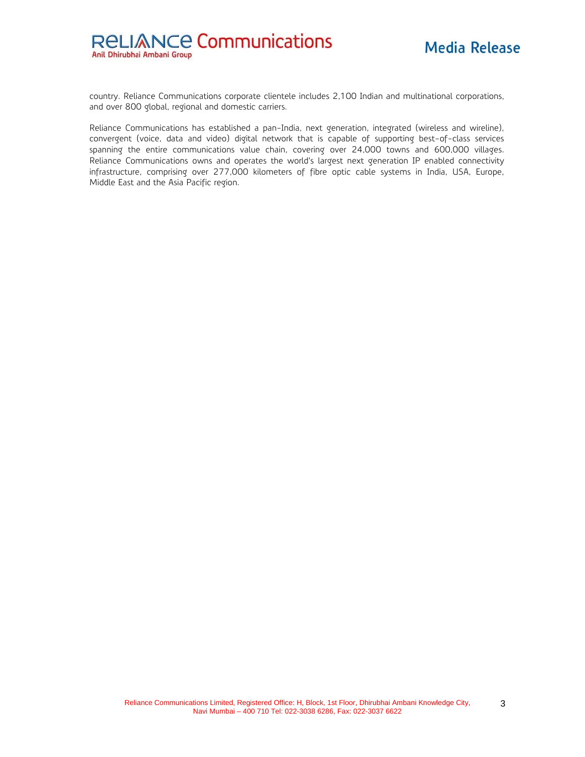country. Reliance Communications corporate clientele includes 2,100 Indian and multinational corporations, and over 800 global, regional and domestic carriers.

Reliance Communications has established a pan-India, next generation, integrated (wireless and wireline), convergent (voice, data and video) digital network that is capable of supporting best-of-class services spanning the entire communications value chain, covering over 24,000 towns and 600,000 villages. Reliance Communications owns and operates the world's largest next generation IP enabled connectivity infrastructure, comprising over 277,000 kilometers of fibre optic cable systems in India, USA, Europe, Middle East and the Asia Pacific region.

3